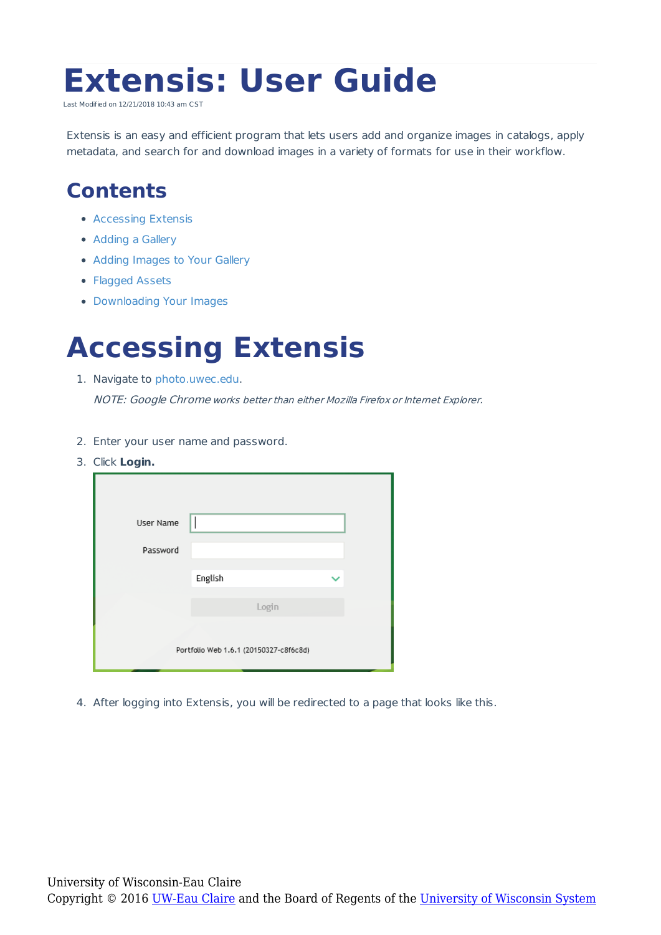# **Extensis: User Guide**

Last Modified on 12/21/2018 10:43 am CST

Extensis is an easy and efficient program that lets users add and organize images in catalogs, apply metadata, and search for and download images in a variety of formats for use in their workflow.

### **Contents**

- Accessing Extensis
- Adding a Gallery
- Adding Images to Your Gallery
- Flagged Assets
- Downloading Your Images

### **Accessing Extensis**

1. Navigate to photo.uwec.edu.

NOTE: Google Chrome works better than either Mozilla Firefox or Internet Explorer.

- 2. Enter your user name and password.
- 3. Click **Login.**

| User Name                              |         |       |  |  |  |  |
|----------------------------------------|---------|-------|--|--|--|--|
| Password                               |         |       |  |  |  |  |
|                                        | English |       |  |  |  |  |
|                                        |         | Login |  |  |  |  |
| Portfolio Web 1.6.1 (20150327-c8f6c8d) |         |       |  |  |  |  |

4. After logging into Extensis, you will be redirected to a page that looks like this.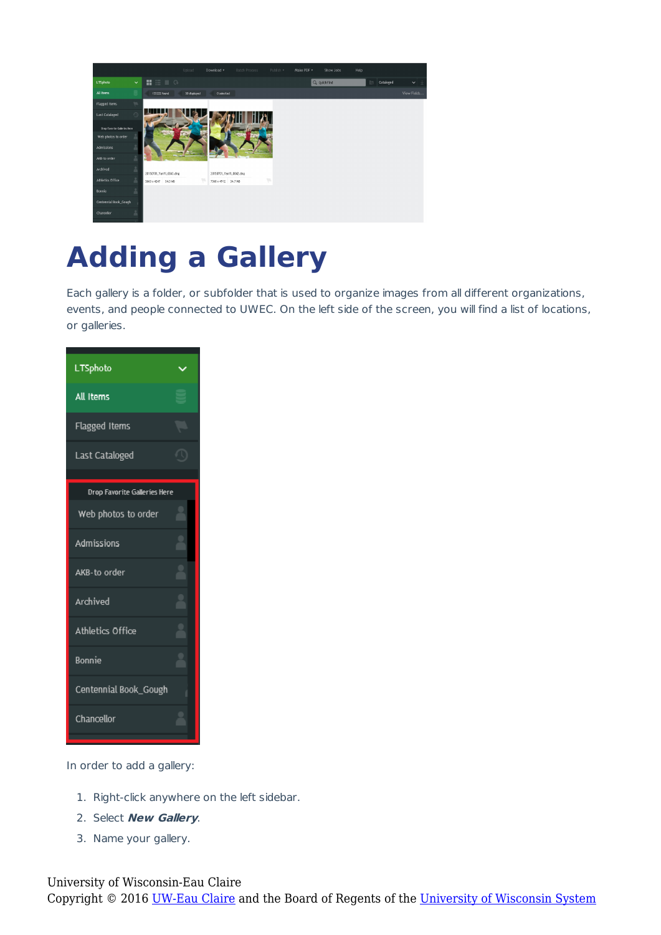|                              |                    |                                                 | Upload       | Download v              | Batch Process | Publish v | Make PDF v | Show Jobs   | Help |                             |              |
|------------------------------|--------------------|-------------------------------------------------|--------------|-------------------------|---------------|-----------|------------|-------------|------|-----------------------------|--------------|
| LTSphoto                     | $\checkmark$       | $\mathbf{H} \equiv \mathbf{I} \cdot \mathbf{0}$ |              |                         |               |           |            | Q quickFind |      | Cataloged<br>$\overline{G}$ | $\checkmark$ |
| All Items                    | Ξ                  | 133222 found                                    | 50 displayed | 0 selected              |               |           |            |             |      |                             | View Fields  |
| <b>Flagged Items</b>         | $\mathcal{P}$      |                                                 |              |                         |               |           |            |             |      |                             |              |
| Last Cataloged               | $\circlearrowleft$ |                                                 |              |                         |               |           |            |             |      |                             |              |
| Drop Favorite Galleries Here |                    |                                                 |              |                         |               |           |            |             |      |                             |              |
| Web photos to order          |                    |                                                 |              |                         |               |           |            |             |      |                             |              |
| Admissions                   | Р                  |                                                 |              |                         |               |           |            |             |      |                             |              |
| AKB-to order                 | $\Delta$           |                                                 |              |                         |               |           |            |             |      |                             |              |
| Archived                     | $\Delta$           | 20150701_YanYi_0043.dng                         |              | 20150701_YanYi_0042.dng |               |           |            |             |      |                             |              |
| Athletics Office             | $\Delta$           | 5663 x 4247 34.3 MB                             |              | 7360 x 4912 34.7 MB     |               | w         |            |             |      |                             |              |
| Bonnie                       | $\mathbf{2}$       |                                                 |              |                         |               |           |            |             |      |                             |              |
| Centennial Book_Gough        |                    |                                                 |              |                         |               |           |            |             |      |                             |              |
| Chancellor                   | 움                  |                                                 |              |                         |               |           |            |             |      |                             |              |

# **Adding a Gallery**

Each gallery is a folder, or subfolder that is used to organize images from all different organizations, events, and people connected to UWEC. On the left side of the screen, you will find a list of locations, or galleries.

| <b>LTSphoto</b>              |  |
|------------------------------|--|
| All Items                    |  |
| Flagged Items                |  |
| Last Cataloged               |  |
| Drop Favorite Galleries Here |  |
| Web photos to order          |  |
| Admissions                   |  |
| AKB-to order                 |  |
| Archived                     |  |
| Athletics Office             |  |
| Bonnie                       |  |
| Centennial Book_Gough        |  |
| Chancellor                   |  |

In order to add a gallery:

- 1. Right-click anywhere on the left sidebar.
- 2. Select **New Gallery**.
- 3. Name your gallery.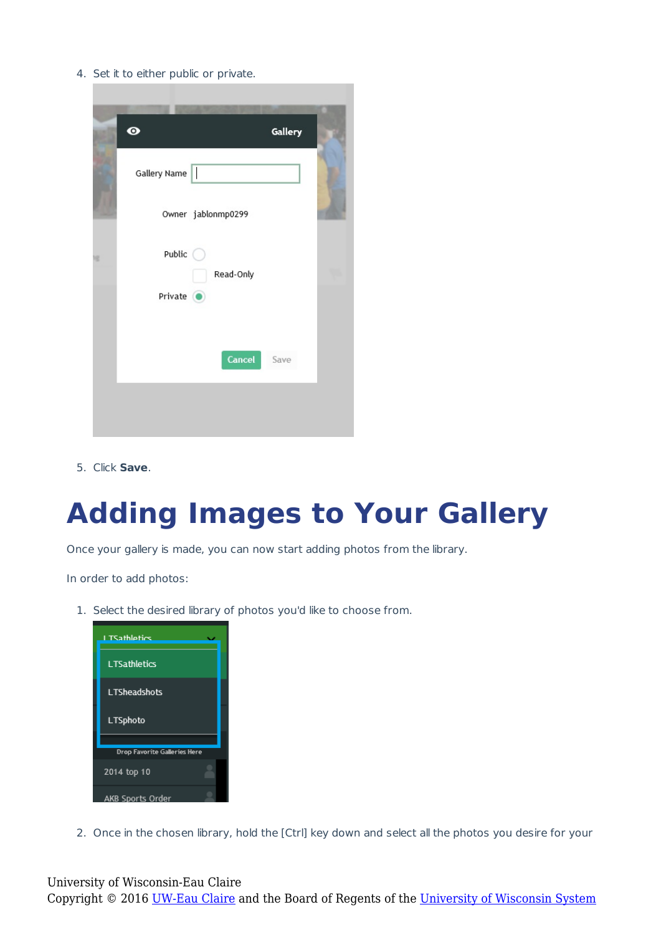4. Set it to either public or private.



5. Click **Save**.

## **Adding Images to Your Gallery**

Once your gallery is made, you can now start adding photos from the library.

In order to add photos:

1. Select the desired library of photos you'd like to choose from.

| <b>TSathlatics</b>                  |
|-------------------------------------|
| <b>LTSathletics</b>                 |
| <b>LTSheadshots</b>                 |
| <b>LTSphoto</b>                     |
|                                     |
| <b>Drop Favorite Galleries Here</b> |
| 2014 top 10                         |
| AKB Sports Order                    |

2. Once in the chosen library, hold the [Ctrl] key down and select all the photos you desire for your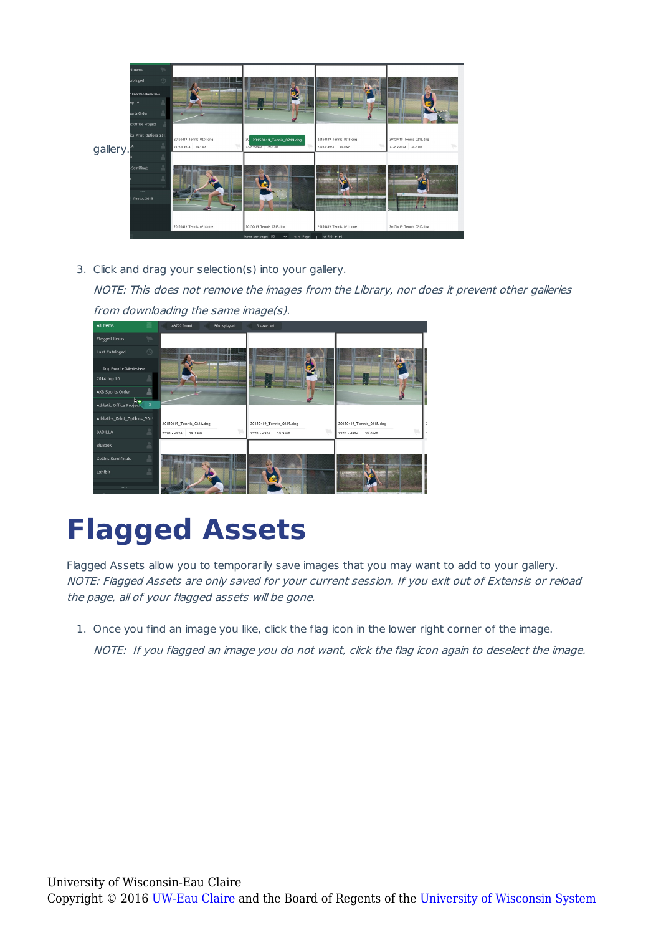|          | $\overline{\mathcal{P}}$<br>d Items |                          |                                                                             |                          |                          |  |
|----------|-------------------------------------|--------------------------|-----------------------------------------------------------------------------|--------------------------|--------------------------|--|
|          | $\bigcirc$<br>ataloged              |                          |                                                                             |                          |                          |  |
|          | p Favorite Galleries Here           |                          |                                                                             |                          |                          |  |
|          | op <sub>10</sub>                    | 20150419_Tennis_0224.dng |                                                                             |                          |                          |  |
|          | ports Order                         |                          | <b><i><u>START OF STREET</u></i></b>                                        |                          | 20150419_Tennis_0216.dng |  |
|          | ic Office Project                   |                          |                                                                             |                          |                          |  |
|          | ics_Print_Options_201!              |                          | 20150419_Tennis_0219.dng<br>20                                              | 20150419_Tennis_0218.dng |                          |  |
| gallery. |                                     | 7378 x 4924 39.1 MB      | 7378 x 4924 39.3 MB                                                         | 7378 x 4924 39.0 MB      | w<br>7378 x 4924 38.3 MB |  |
|          |                                     |                          |                                                                             |                          |                          |  |
|          | ٠<br>Semifinals                     |                          |                                                                             |                          |                          |  |
|          |                                     |                          |                                                                             |                          | $45.97 + 10$             |  |
|          |                                     |                          |                                                                             |                          |                          |  |
|          | Photos 2015                         |                          |                                                                             | <b>HANGER</b>            | <b>THURSDAY AV</b>       |  |
|          |                                     |                          |                                                                             |                          | 出家                       |  |
|          |                                     |                          |                                                                             |                          |                          |  |
|          |                                     | 20150419_Tennis_0214.dng | 20150419_Tennis_0213.dng<br>Items ner nage: 50 v lid d Page in of 936 h h l | 20150419_Tennis_0211.dng | 20150419_Tennis_0210.dng |  |

3. Click and drag your selection(s) into your gallery.

NOTE: This does not remove the images from the Library, nor does it prevent other galleries from downloading the same image(s).



# **Flagged Assets**

Flagged Assets allow you to temporarily save images that you may want to add to your gallery. NOTE: Flagged Assets are only saved for your current session. If you exit out of Extensis or reload the page, all of your flagged assets will be gone.

1. Once you find an image you like, click the flag icon in the lower right corner of the image. NOTE: If you flagged an image you do not want, click the flag icon again to deselect the image.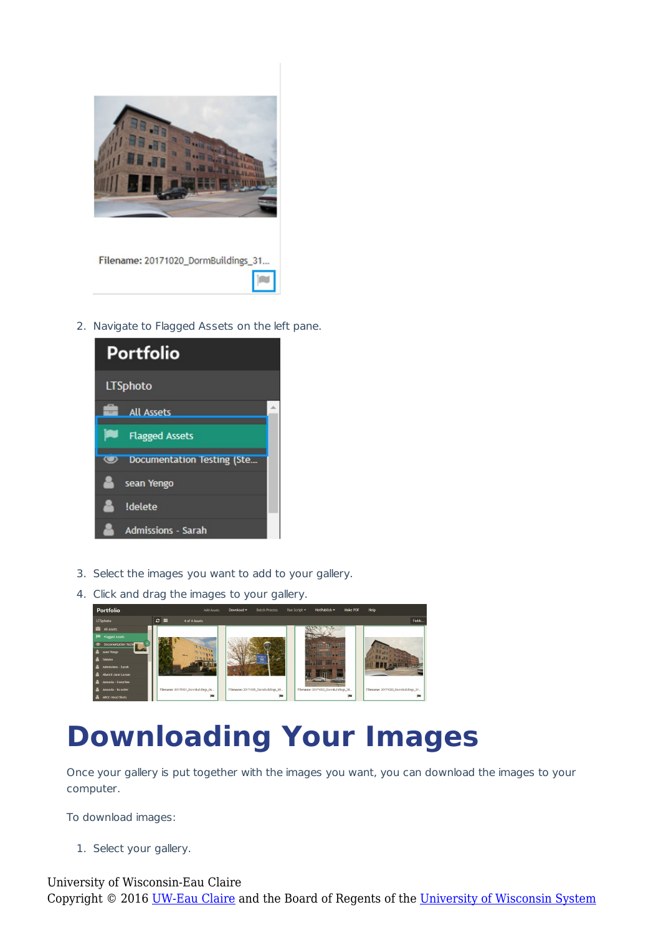

#### Filename: 20171020\_DormBuildings\_31...

2. Navigate to Flagged Assets on the left pane.



- 3. Select the images you want to add to your gallery.
- 4. Click and drag the images to your gallery.



## **Downloading Your Images**

Once your gallery is put together with the images you want, you can download the images to your computer.

To download images:

1. Select your gallery.

University of Wisconsin-Eau Claire Copyright © 2016 [UW-Eau Claire](http://www.uwec.edu) and the Board of Regents of the [University of Wisconsin System](http://www.uwsa.edu/)